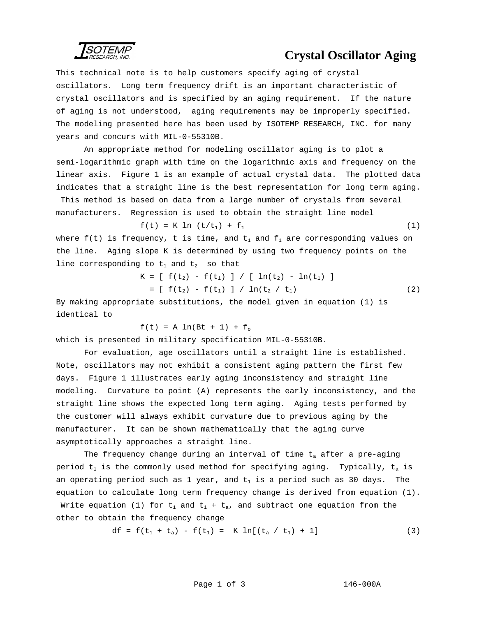SOTEMP

## **Crystal Oscillator Aging**

This technical note is to help customers specify aging of crystal oscillators. Long term frequency drift is an important characteristic of crystal oscillators and is specified by an aging requirement. If the nature of aging is not understood, aging requirements may be improperly specified. The modeling presented here has been used by ISOTEMP RESEARCH, INC. for many years and concurs with MIL-0-55310B.

An appropriate method for modeling oscillator aging is to plot a semi-logarithmic graph with time on the logarithmic axis and frequency on the linear axis. Figure 1 is an example of actual crystal data. The plotted data indicates that a straight line is the best representation for long term aging.

 This method is based on data from a large number of crystals from several manufacturers. Regression is used to obtain the straight line model

$$
f(t) = K ln (t/t_1) + f_1
$$
 (1)

where  $f(t)$  is frequency, t is time, and  $t_1$  and  $f_1$  are corresponding values on the line. Aging slope K is determined by using two frequency points on the line corresponding to  $t_1$  and  $t_2$  so that

$$
K = [ f(t2) - f(t1) ] / [ ln(t2) - ln(t1) ]
$$
  
= [ f(t<sub>2</sub>) - f(t<sub>1</sub>) ] / ln(t<sub>2</sub> / t<sub>1</sub>) (2)

By making appropriate substitutions, the model given in equation (1) is identical to

 $f(t) = A ln(Bt + 1) + f_0$ 

which is presented in military specification MIL-0-55310B.

For evaluation, age oscillators until a straight line is established. Note, oscillators may not exhibit a consistent aging pattern the first few days. Figure 1 illustrates early aging inconsistency and straight line modeling. Curvature to point (A) represents the early inconsistency, and the straight line shows the expected long term aging. Aging tests performed by the customer will always exhibit curvature due to previous aging by the manufacturer. It can be shown mathematically that the aging curve asymptotically approaches a straight line.

The frequency change during an interval of time  $t_a$  after a pre-aging period  $t_1$  is the commonly used method for specifying aging. Typically,  $t_a$  is an operating period such as 1 year, and  $t_1$  is a period such as 30 days. The equation to calculate long term frequency change is derived from equation (1).

Write equation (1) for  $t_1$  and  $t_1 + t_a$ , and subtract one equation from the other to obtain the frequency change

df = f(t1 + ta) - f(t1) = K ln[(ta / t1) + 1] (3)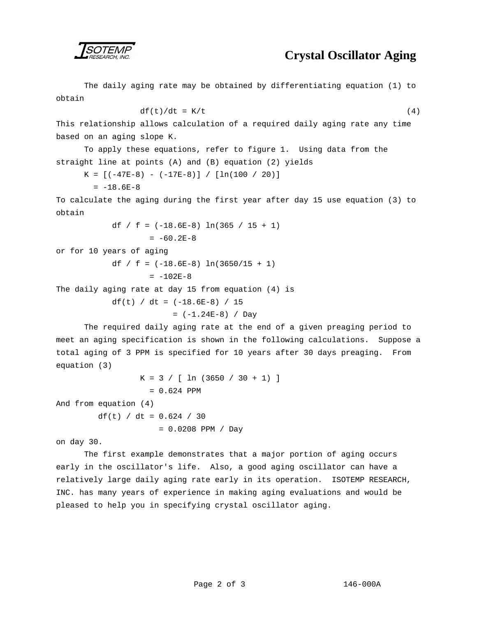

## **Crystal Oscillator Aging**

The daily aging rate may be obtained by differentiating equation (1) to obtain

$$
df(t)/dt = K/t \tag{4}
$$

This relationship allows calculation of a required daily aging rate any time based on an aging slope K.

To apply these equations, refer to figure 1. Using data from the straight line at points (A) and (B) equation (2) yields

 $K = [(-47E-8) - (-17E-8)] / [ln(100 / 20)]$ 

 $= -18.6E-8$ 

To calculate the aging during the first year after day 15 use equation (3) to obtain

```
df / f = (-18.6E-8) ln(365 / 15 + 1)
= -60.2E-8
```
or for 10 years of aging

df / f =  $(-18.6E-8)$  ln(3650/15 + 1)  $= -102E-8$ 

The daily aging rate at day 15 from equation (4) is

df(t) / dt = (-18.6E-8) / 15 = (-1.24E-8) / Day

The required daily aging rate at the end of a given preaging period to meet an aging specification is shown in the following calculations. Suppose a total aging of 3 PPM is specified for 10 years after 30 days preaging. From equation (3)

```
K = 3 / [ \ln (3650 / 30 + 1) ]= 0.624 PPM
```
And from equation (4)

df(t) / dt =  $0.624$  / 30

= 0.0208 PPM / Day

on day 30.

The first example demonstrates that a major portion of aging occurs early in the oscillator's life. Also, a good aging oscillator can have a relatively large daily aging rate early in its operation. ISOTEMP RESEARCH, INC. has many years of experience in making aging evaluations and would be pleased to help you in specifying crystal oscillator aging.